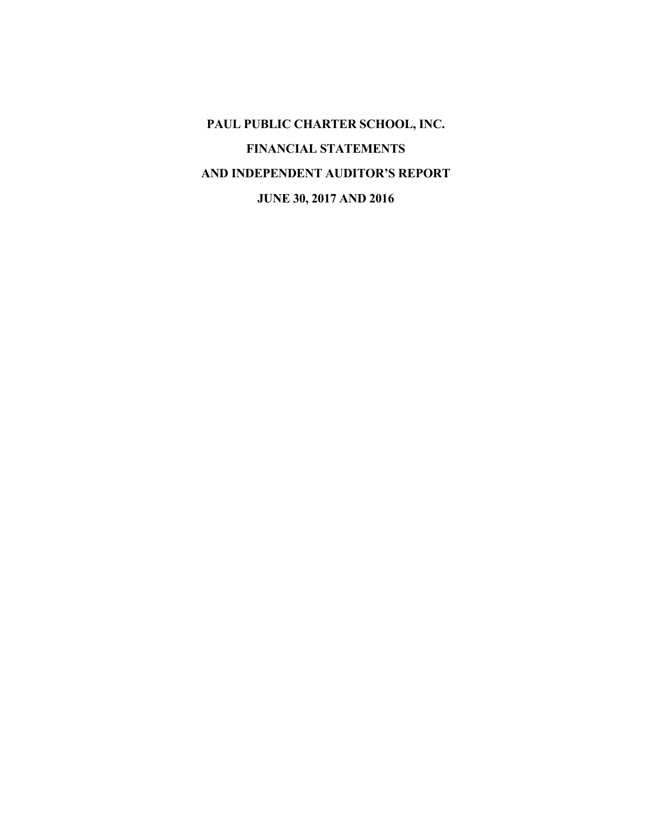**PAUL PUBLIC CHARTER SCHOOL, INC. FINANCIAL STATEMENTS AND INDEPENDENT AUDITOR'S REPORT JUNE 30, 2017 AND 2016**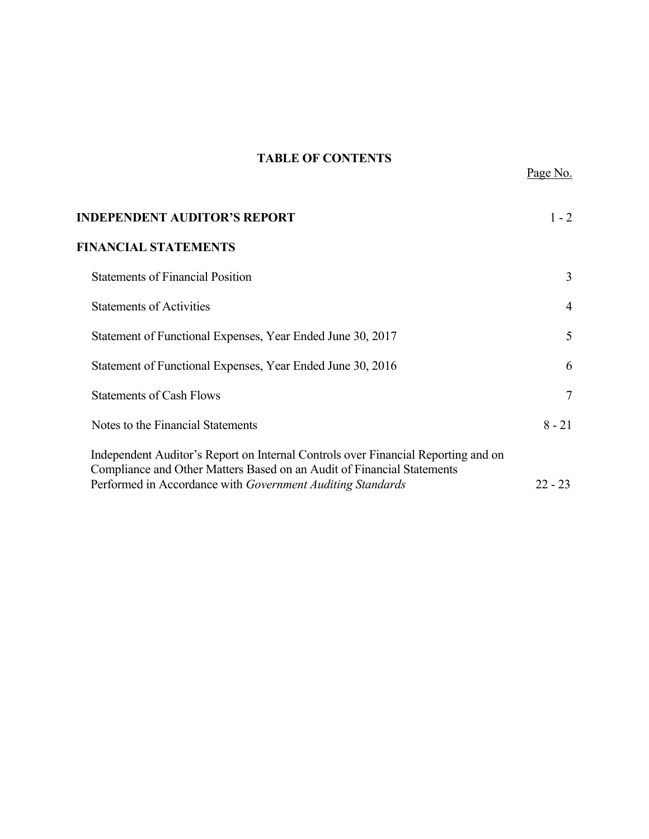## **TABLE OF CONTENTS**

Page No.

| <b>INDEPENDENT AUDITOR'S REPORT</b>                                                                                                  | $1 - 2$        |
|--------------------------------------------------------------------------------------------------------------------------------------|----------------|
| <b>FINANCIAL STATEMENTS</b>                                                                                                          |                |
| <b>Statements of Financial Position</b>                                                                                              | 3              |
| <b>Statements of Activities</b>                                                                                                      | $\overline{4}$ |
| Statement of Functional Expenses, Year Ended June 30, 2017                                                                           | 5              |
| Statement of Functional Expenses, Year Ended June 30, 2016                                                                           | 6              |
| <b>Statements of Cash Flows</b>                                                                                                      | 7              |
| Notes to the Financial Statements                                                                                                    | $8 - 21$       |
| Independent Auditor's Report on Internal Controls over Financial Reporting and on                                                    |                |
| Compliance and Other Matters Based on an Audit of Financial Statements<br>Performed in Accordance with Government Auditing Standards | $22 - 23$      |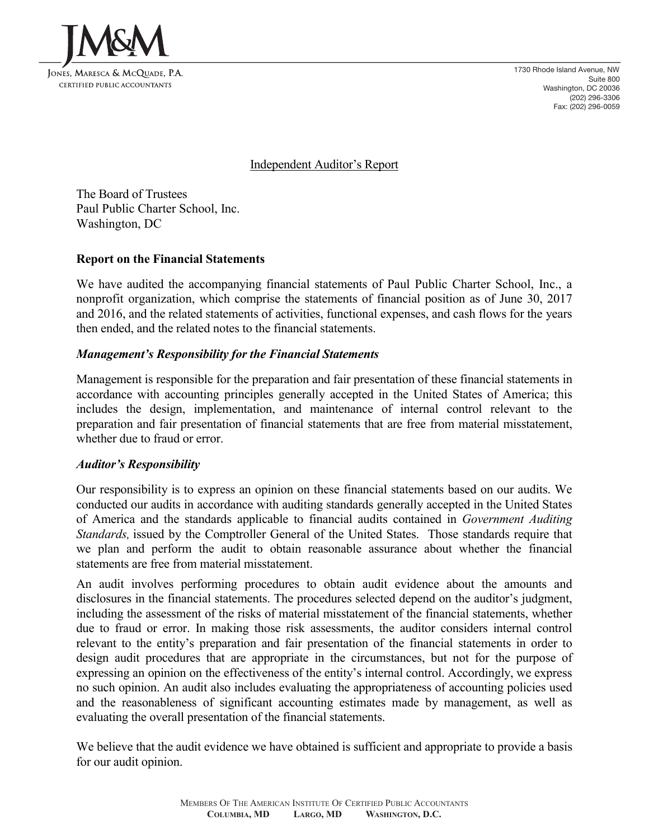

1730 Rhode Island Avenue, NW Suite 800 Washington, DC 20036 (202) 296-3306 Fax: (202) 296-0059

Independent Auditor's Report

The Board of Trustees Paul Public Charter School, Inc. Washington, DC

### **Report on the Financial Statements**

We have audited the accompanying financial statements of Paul Public Charter School, Inc., a nonprofit organization, which comprise the statements of financial position as of June 30, 2017 and 2016, and the related statements of activities, functional expenses, and cash flows for the years then ended, and the related notes to the financial statements.

### *Management's Responsibility for the Financial Statements*

Management is responsible for the preparation and fair presentation of these financial statements in accordance with accounting principles generally accepted in the United States of America; this includes the design, implementation, and maintenance of internal control relevant to the preparation and fair presentation of financial statements that are free from material misstatement, whether due to fraud or error.

### *Auditor's Responsibility*

Our responsibility is to express an opinion on these financial statements based on our audits. We conducted our audits in accordance with auditing standards generally accepted in the United States of America and the standards applicable to financial audits contained in *Government Auditing Standards,* issued by the Comptroller General of the United States. Those standards require that we plan and perform the audit to obtain reasonable assurance about whether the financial statements are free from material misstatement.

An audit involves performing procedures to obtain audit evidence about the amounts and disclosures in the financial statements. The procedures selected depend on the auditor's judgment, including the assessment of the risks of material misstatement of the financial statements, whether due to fraud or error. In making those risk assessments, the auditor considers internal control relevant to the entity's preparation and fair presentation of the financial statements in order to design audit procedures that are appropriate in the circumstances, but not for the purpose of expressing an opinion on the effectiveness of the entity's internal control. Accordingly, we express no such opinion. An audit also includes evaluating the appropriateness of accounting policies used and the reasonableness of significant accounting estimates made by management, as well as evaluating the overall presentation of the financial statements.

We believe that the audit evidence we have obtained is sufficient and appropriate to provide a basis for our audit opinion.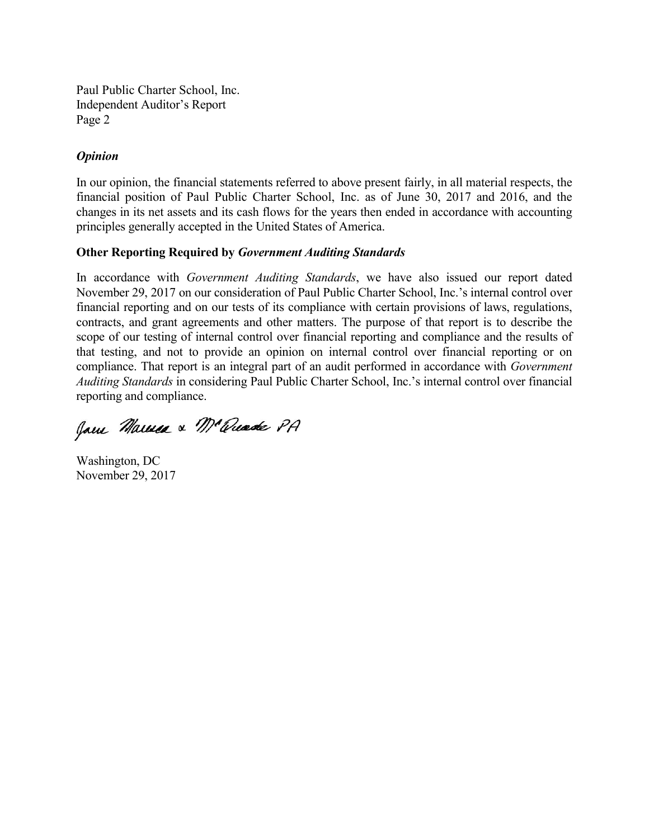Paul Public Charter School, Inc. Independent Auditor's Report Page 2

## *Opinion*

In our opinion, the financial statements referred to above present fairly, in all material respects, the financial position of Paul Public Charter School, Inc. as of June 30, 2017 and 2016, and the changes in its net assets and its cash flows for the years then ended in accordance with accounting principles generally accepted in the United States of America.

## **Other Reporting Required by** *Government Auditing Standards*

In accordance with *Government Auditing Standards*, we have also issued our report dated November 29, 2017 on our consideration of Paul Public Charter School, Inc.'s internal control over financial reporting and on our tests of its compliance with certain provisions of laws, regulations, contracts, and grant agreements and other matters. The purpose of that report is to describe the scope of our testing of internal control over financial reporting and compliance and the results of that testing, and not to provide an opinion on internal control over financial reporting or on compliance. That report is an integral part of an audit performed in accordance with *Government Auditing Standards* in considering Paul Public Charter School, Inc.'s internal control over financial reporting and compliance.

Jam Marma & Ma Quade PA

Washington, DC November 29, 2017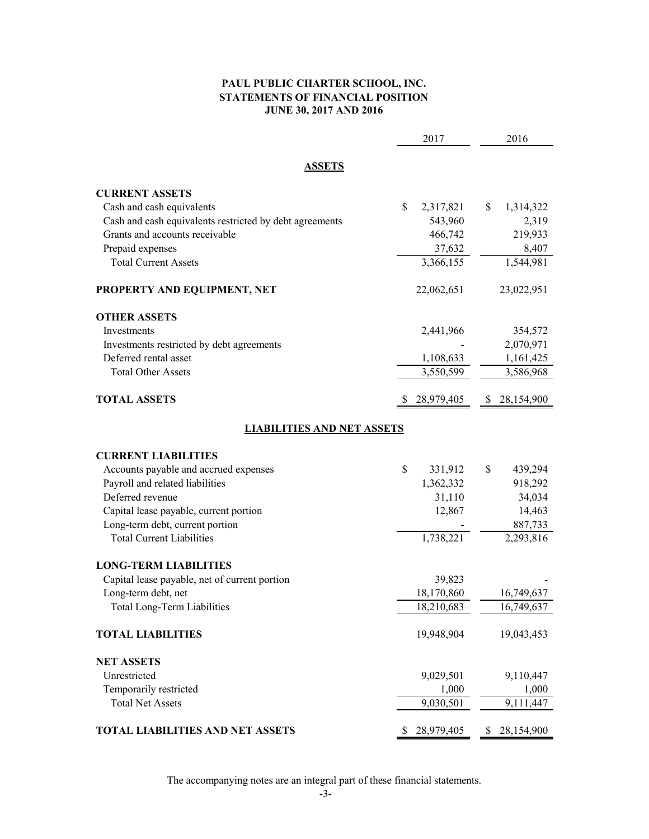#### **JUNE 30, 2017 AND 2016 PAUL PUBLIC CHARTER SCHOOL, INC. STATEMENTS OF FINANCIAL POSITION**

|                                                         | 2017             | 2016            |
|---------------------------------------------------------|------------------|-----------------|
| <b>ASSETS</b>                                           |                  |                 |
| <b>CURRENT ASSETS</b>                                   |                  |                 |
| Cash and cash equivalents                               | \$<br>2,317,821  | \$<br>1,314,322 |
| Cash and cash equivalents restricted by debt agreements | 543,960          | 2,319           |
| Grants and accounts receivable                          | 466,742          | 219,933         |
| Prepaid expenses                                        | 37,632           | 8,407           |
| <b>Total Current Assets</b>                             | 3,366,155        | 1,544,981       |
| PROPERTY AND EQUIPMENT, NET                             | 22,062,651       | 23,022,951      |
| <b>OTHER ASSETS</b>                                     |                  |                 |
| Investments                                             | 2,441,966        | 354,572         |
| Investments restricted by debt agreements               |                  | 2,070,971       |
| Deferred rental asset                                   | 1,108,633        | 1,161,425       |
| <b>Total Other Assets</b>                               | 3,550,599        | 3,586,968       |
| <b>TOTAL ASSETS</b>                                     | 28,979,405       | 28,154,900<br>S |
| <b>LIABILITIES AND NET ASSETS</b>                       |                  |                 |
| <b>CURRENT LIABILITIES</b>                              |                  |                 |
| Accounts payable and accrued expenses                   | \$<br>331,912    | \$<br>439,294   |
| Payroll and related liabilities                         | 1,362,332        | 918,292         |
| Deferred revenue                                        | 31,110           | 34,034          |
| Capital lease payable, current portion                  | 12,867           | 14,463          |
| Long-term debt, current portion                         |                  | 887,733         |
| <b>Total Current Liabilities</b>                        | 1,738,221        | 2,293,816       |
| <b>LONG-TERM LIABILITIES</b>                            |                  |                 |
| Capital lease payable, net of current portion           | 39,823           |                 |
| Long-term debt, net                                     | 18,170,860       | 16,749,637      |
| <b>Total Long-Term Liabilities</b>                      | 18,210,683       | 16,749,637      |
| <b>TOTAL LIABILITIES</b>                                | 19,948,904       | 19,043,453      |
| <b>NET ASSETS</b>                                       |                  |                 |
| Unrestricted                                            | 9,029,501        | 9,110,447       |
| Temporarily restricted                                  | 1,000            | 1,000           |
| <b>Total Net Assets</b>                                 | 9,030,501        | 9,111,447       |
| <b>TOTAL LIABILITIES AND NET ASSETS</b>                 | \$<br>28,979,405 | \$ 28,154,900   |

The accompanying notes are an integral part of these financial statements.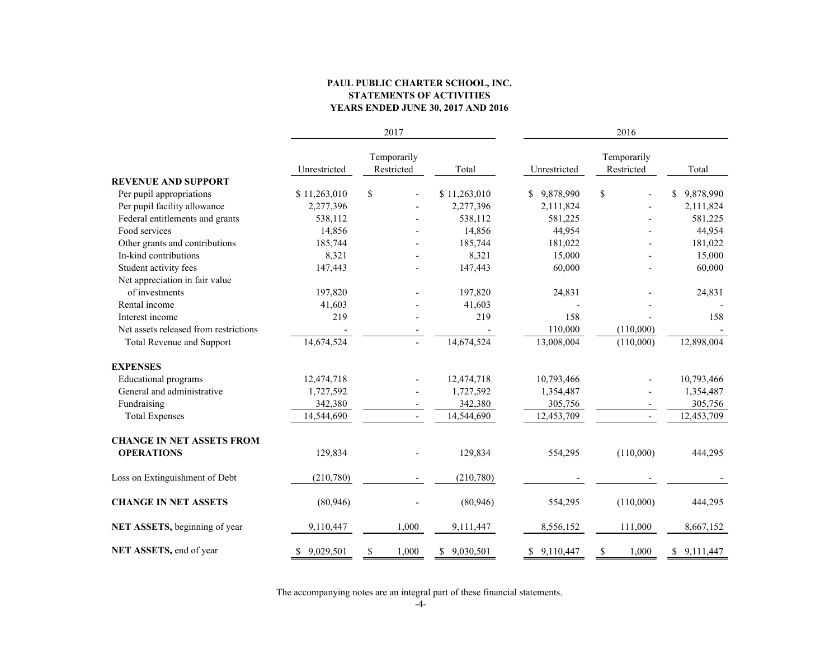#### **PAUL PUBLIC CHARTER SCHOOL, INC. STATEMENTS OF ACTIVITIES YEARS ENDED JUNE 30, 2017 AND 2016**

|                                       | 2017         |    |                           | 2016            |              |             |                           |                 |
|---------------------------------------|--------------|----|---------------------------|-----------------|--------------|-------------|---------------------------|-----------------|
|                                       | Unrestricted |    | Temporarily<br>Restricted | Total           | Unrestricted |             | Temporarily<br>Restricted | Total           |
| <b>REVENUE AND SUPPORT</b>            |              |    |                           |                 |              |             |                           |                 |
| Per pupil appropriations              | \$11,263,010 | \$ |                           | \$11,263,010    | \$9,878,990  | $\mathbf S$ |                           | 9,878,990<br>\$ |
| Per pupil facility allowance          | 2,277,396    |    |                           | 2,277,396       | 2,111,824    |             |                           | 2,111,824       |
| Federal entitlements and grants       | 538,112      |    |                           | 538,112         | 581,225      |             |                           | 581,225         |
| Food services                         | 14,856       |    |                           | 14,856          | 44,954       |             |                           | 44,954          |
| Other grants and contributions        | 185,744      |    |                           | 185,744         | 181,022      |             |                           | 181,022         |
| In-kind contributions                 | 8,321        |    |                           | 8,321           | 15,000       |             |                           | 15,000          |
| Student activity fees                 | 147,443      |    |                           | 147,443         | 60,000       |             |                           | 60,000          |
| Net appreciation in fair value        |              |    |                           |                 |              |             |                           |                 |
| of investments                        | 197,820      |    |                           | 197,820         | 24,831       |             |                           | 24,831          |
| Rental income                         | 41,603       |    |                           | 41,603          |              |             |                           |                 |
| Interest income                       | 219          |    |                           | 219             | 158          |             |                           | 158             |
| Net assets released from restrictions |              |    |                           |                 | 110,000      |             | (110,000)                 |                 |
| Total Revenue and Support             | 14,674,524   |    |                           | 14,674,524      | 13,008,004   |             | (110,000)                 | 12,898,004      |
| <b>EXPENSES</b>                       |              |    |                           |                 |              |             |                           |                 |
| <b>Educational programs</b>           | 12,474,718   |    |                           | 12,474,718      | 10,793,466   |             |                           | 10,793,466      |
| General and administrative            | 1,727,592    |    |                           | 1,727,592       | 1,354,487    |             |                           | 1,354,487       |
| Fundraising                           | 342,380      |    |                           | 342,380         | 305,756      |             |                           | 305,756         |
| <b>Total Expenses</b>                 | 14,544,690   |    |                           | 14,544,690      | 12,453,709   |             |                           | 12,453,709      |
| <b>CHANGE IN NET ASSETS FROM</b>      |              |    |                           |                 |              |             |                           |                 |
| <b>OPERATIONS</b>                     | 129,834      |    |                           | 129,834         | 554,295      |             | (110,000)                 | 444,295         |
| Loss on Extinguishment of Debt        | (210,780)    |    |                           | (210,780)       |              |             |                           |                 |
| <b>CHANGE IN NET ASSETS</b>           | (80, 946)    |    |                           | (80, 946)       | 554,295      |             | (110,000)                 | 444,295         |
| NET ASSETS, beginning of year         | 9,110,447    |    | 1,000                     | 9,111,447       | 8,556,152    |             | 111,000                   | 8,667,152       |
| NET ASSETS, end of year               | \$9,029,501  | \$ | 1,000                     | 9,030,501<br>\$ | \$9,110,447  | \$          | 1,000                     | \$9,111,447     |

The accompanying notes are an integral part of these financial statements.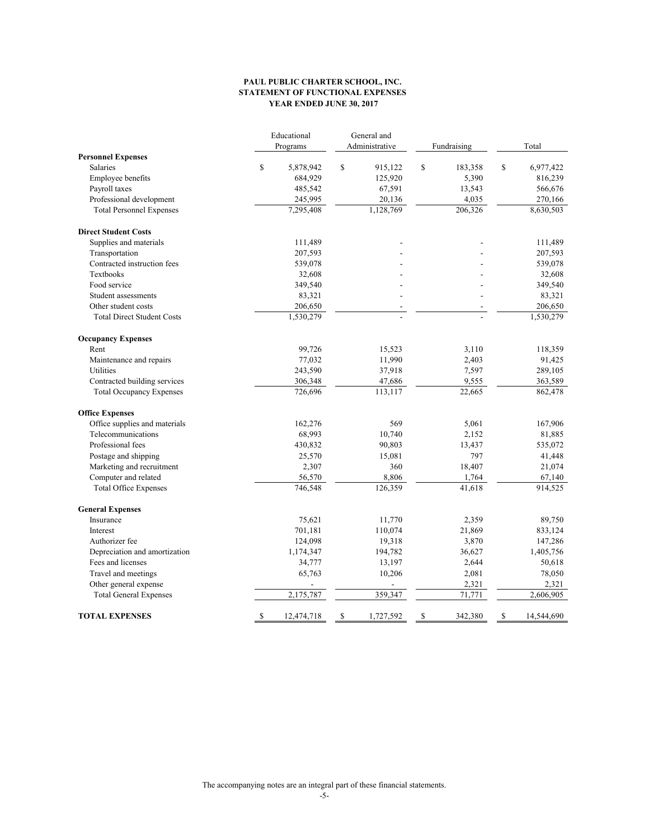#### **PAUL PUBLIC CHARTER SCHOOL, INC. STATEMENT OF FUNCTIONAL EXPENSES YEAR ENDED JUNE 30, 2017**

|                                   | Educational      | General and     |                     |                  |
|-----------------------------------|------------------|-----------------|---------------------|------------------|
|                                   | Programs         | Administrative  | Fundraising         | Total            |
| <b>Personnel Expenses</b>         |                  |                 |                     |                  |
| <b>Salaries</b>                   | \$<br>5,878,942  | \$<br>915,122   | \$<br>183,358       | \$<br>6,977,422  |
| Employee benefits                 | 684,929          | 125,920         | 5,390               | 816,239          |
| Payroll taxes                     | 485,542          | 67,591          | 13,543              | 566,676          |
| Professional development          | 245,995          | 20,136          | 4,035               | 270,166          |
| <b>Total Personnel Expenses</b>   | 7,295,408        | 1,128,769       | 206,326             | 8,630,503        |
| <b>Direct Student Costs</b>       |                  |                 |                     |                  |
| Supplies and materials            | 111,489          |                 |                     | 111,489          |
| Transportation                    | 207,593          |                 |                     | 207,593          |
| Contracted instruction fees       | 539,078          |                 |                     | 539,078          |
| Textbooks                         | 32,608           |                 |                     | 32,608           |
| Food service                      | 349,540          |                 |                     | 349,540          |
| Student assessments               | 83,321           |                 |                     | 83,321           |
| Other student costs               | 206,650          |                 |                     | 206,650          |
| <b>Total Direct Student Costs</b> | 1,530,279        |                 |                     | 1,530,279        |
| <b>Occupancy Expenses</b>         |                  |                 |                     |                  |
| Rent                              | 99,726           | 15,523          | 3,110               | 118,359          |
| Maintenance and repairs           | 77,032           | 11,990          | 2,403               | 91,425           |
| Utilities                         | 243,590          | 37,918          | 7,597               | 289,105          |
| Contracted building services      | 306,348          | 47,686          | 9,555               | 363,589          |
| <b>Total Occupancy Expenses</b>   | 726,696          | 113,117         | $\overline{22,665}$ | 862,478          |
| <b>Office Expenses</b>            |                  |                 |                     |                  |
| Office supplies and materials     | 162,276          | 569             | 5,061               | 167,906          |
| Telecommunications                | 68,993           | 10,740          | 2,152               | 81,885           |
| Professional fees                 | 430,832          | 90,803          | 13,437              | 535,072          |
| Postage and shipping              | 25,570           | 15,081          | 797                 | 41,448           |
| Marketing and recruitment         | 2,307            | 360             | 18,407              | 21,074           |
| Computer and related              | 56,570           | 8,806           | 1,764               | 67,140           |
| <b>Total Office Expenses</b>      | 746,548          | 126,359         | 41,618              | 914,525          |
| <b>General Expenses</b>           |                  |                 |                     |                  |
| Insurance                         | 75,621           | 11,770          | 2,359               | 89,750           |
| Interest                          | 701,181          | 110,074         | 21,869              | 833,124          |
| Authorizer fee                    | 124,098          | 19,318          | 3,870               | 147,286          |
| Depreciation and amortization     | 1,174,347        | 194,782         | 36,627              | 1,405,756        |
| Fees and licenses                 | 34,777           | 13,197          | 2,644               | 50,618           |
| Travel and meetings               | 65,763           | 10,206          | 2,081               | 78,050           |
| Other general expense             |                  |                 | 2,321               | 2,321            |
| <b>Total General Expenses</b>     | 2,175,787        | 359,347         | 71,771              | 2,606,905        |
| <b>TOTAL EXPENSES</b>             | \$<br>12,474,718 | \$<br>1,727,592 | \$<br>342,380       | \$<br>14,544,690 |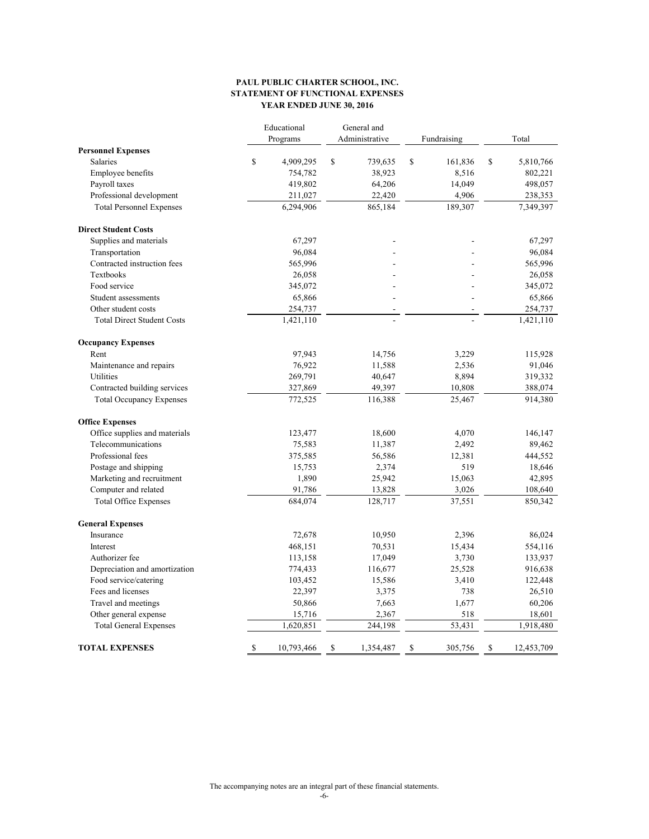#### **PAUL PUBLIC CHARTER SCHOOL, INC. STATEMENT OF FUNCTIONAL EXPENSES YEAR ENDED JUNE 30, 2016**

|                                   | Educational<br>Programs | General and<br>Administrative | Fundraising   | Total            |
|-----------------------------------|-------------------------|-------------------------------|---------------|------------------|
| <b>Personnel Expenses</b>         |                         |                               |               |                  |
| Salaries                          | \$<br>4,909,295         | \$<br>739,635                 | \$<br>161,836 | \$<br>5,810,766  |
| Employee benefits                 | 754,782                 | 38,923                        | 8,516         | 802,221          |
| Payroll taxes                     | 419,802                 | 64,206                        | 14,049        | 498,057          |
| Professional development          | 211,027                 | 22,420                        | 4,906         | 238,353          |
| <b>Total Personnel Expenses</b>   | 6,294,906               | 865,184                       | 189,307       | 7,349,397        |
| <b>Direct Student Costs</b>       |                         |                               |               |                  |
| Supplies and materials            | 67,297                  |                               |               | 67,297           |
| Transportation                    | 96,084                  |                               |               | 96,084           |
| Contracted instruction fees       | 565,996                 |                               |               | 565,996          |
| Textbooks                         | 26,058                  |                               |               | 26,058           |
| Food service                      | 345,072                 |                               |               | 345,072          |
| Student assessments               | 65,866                  |                               |               | 65,866           |
| Other student costs               | 254,737                 | $\overline{\phantom{a}}$      |               | 254,737          |
| <b>Total Direct Student Costs</b> | 1,421,110               |                               |               | 1,421,110        |
| <b>Occupancy Expenses</b>         |                         |                               |               |                  |
| Rent                              | 97,943                  | 14,756                        | 3,229         | 115,928          |
| Maintenance and repairs           | 76,922                  | 11,588                        | 2,536         | 91,046           |
| Utilities                         | 269,791                 | 40,647                        | 8,894         | 319,332          |
| Contracted building services      | 327,869                 | 49,397                        | 10,808        | 388,074          |
| <b>Total Occupancy Expenses</b>   | 772,525                 | 116,388                       | 25,467        | 914,380          |
| <b>Office Expenses</b>            |                         |                               |               |                  |
| Office supplies and materials     | 123,477                 | 18,600                        | 4,070         | 146,147          |
| Telecommunications                | 75,583                  | 11,387                        | 2,492         | 89,462           |
| Professional fees                 | 375,585                 | 56,586                        | 12,381        | 444,552          |
| Postage and shipping              | 15,753                  | 2,374                         | 519           | 18,646           |
| Marketing and recruitment         | 1,890                   | 25,942                        | 15,063        | 42,895           |
| Computer and related              | 91,786                  | 13,828                        | 3,026         | 108,640          |
| <b>Total Office Expenses</b>      | 684,074                 | 128,717                       | 37,551        | 850,342          |
| <b>General Expenses</b>           |                         |                               |               |                  |
| Insurance                         | 72,678                  | 10,950                        | 2,396         | 86,024           |
| Interest                          | 468,151                 | 70,531                        | 15,434        | 554,116          |
| Authorizer fee                    | 113,158                 | 17,049                        | 3,730         | 133,937          |
| Depreciation and amortization     | 774,433                 | 116,677                       | 25,528        | 916,638          |
| Food service/catering             | 103,452                 | 15,586                        | 3,410         | 122,448          |
| Fees and licenses                 | 22,397                  | 3,375                         | 738           | 26,510           |
| Travel and meetings               | 50,866                  | 7,663                         | 1,677         | 60,206           |
| Other general expense             | 15,716                  | 2,367                         | 518           | 18,601           |
| <b>Total General Expenses</b>     | 1,620,851               | 244,198                       | 53,431        | 1,918,480        |
| <b>TOTAL EXPENSES</b>             | 10,793,466<br>-S        | 1,354,487<br>\$               | 305,756<br>\$ | 12,453,709<br>\$ |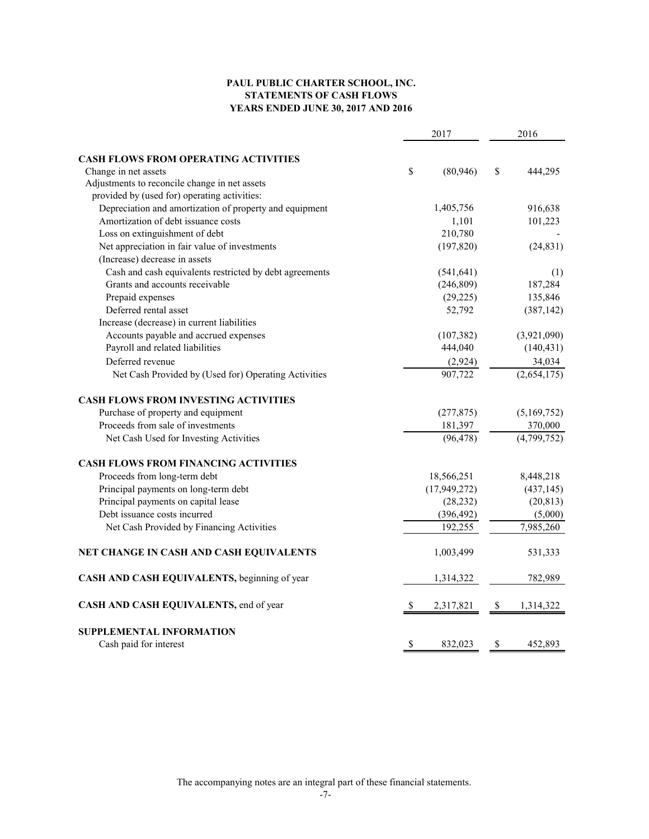#### **PAUL PUBLIC CHARTER SCHOOL, INC. STATEMENTS OF CASH FLOWS YEARS ENDED JUNE 30, 2017 AND 2016**

|                                                         | 2017 |              | 2016            |  |
|---------------------------------------------------------|------|--------------|-----------------|--|
| <b>CASH FLOWS FROM OPERATING ACTIVITIES</b>             |      |              |                 |  |
| Change in net assets                                    | \$   | (80, 946)    | \$<br>444,295   |  |
| Adjustments to reconcile change in net assets           |      |              |                 |  |
| provided by (used for) operating activities:            |      |              |                 |  |
| Depreciation and amortization of property and equipment |      | 1,405,756    | 916,638         |  |
| Amortization of debt issuance costs                     |      | 1,101        | 101,223         |  |
| Loss on extinguishment of debt                          |      | 210,780      |                 |  |
| Net appreciation in fair value of investments           |      | (197, 820)   | (24, 831)       |  |
| (Increase) decrease in assets                           |      |              |                 |  |
| Cash and cash equivalents restricted by debt agreements |      | (541, 641)   | (1)             |  |
| Grants and accounts receivable                          |      | (246, 809)   | 187,284         |  |
| Prepaid expenses                                        |      | (29, 225)    | 135,846         |  |
| Deferred rental asset                                   |      | 52,792       | (387, 142)      |  |
| Increase (decrease) in current liabilities              |      |              |                 |  |
| Accounts payable and accrued expenses                   |      | (107, 382)   | (3,921,090)     |  |
| Payroll and related liabilities                         |      | 444,040      | (140, 431)      |  |
| Deferred revenue                                        |      | (2,924)      | 34,034          |  |
| Net Cash Provided by (Used for) Operating Activities    |      | 907,722      | (2,654,175)     |  |
| <b>CASH FLOWS FROM INVESTING ACTIVITIES</b>             |      |              |                 |  |
| Purchase of property and equipment                      |      | (277, 875)   | (5,169,752)     |  |
| Proceeds from sale of investments                       |      | 181,397      | 370,000         |  |
| Net Cash Used for Investing Activities                  |      | (96, 478)    | (4,799,752)     |  |
| <b>CASH FLOWS FROM FINANCING ACTIVITIES</b>             |      |              |                 |  |
| Proceeds from long-term debt                            |      | 18,566,251   | 8,448,218       |  |
| Principal payments on long-term debt                    |      | (17,949,272) | (437, 145)      |  |
| Principal payments on capital lease                     |      | (28, 232)    | (20, 813)       |  |
| Debt issuance costs incurred                            |      | (396, 492)   | (5,000)         |  |
| Net Cash Provided by Financing Activities               |      | 192,255      | 7,985,260       |  |
| NET CHANGE IN CASH AND CASH EQUIVALENTS                 |      | 1,003,499    | 531,333         |  |
| CASH AND CASH EQUIVALENTS, beginning of year            |      | 1,314,322    | 782,989         |  |
| CASH AND CASH EQUIVALENTS, end of year                  | -S   | 2,317,821    | \$<br>1,314,322 |  |
| <b>SUPPLEMENTAL INFORMATION</b>                         |      |              |                 |  |
| Cash paid for interest                                  | \$   | 832,023      | \$<br>452.893   |  |

The accompanying notes are an integral part of these financial statements.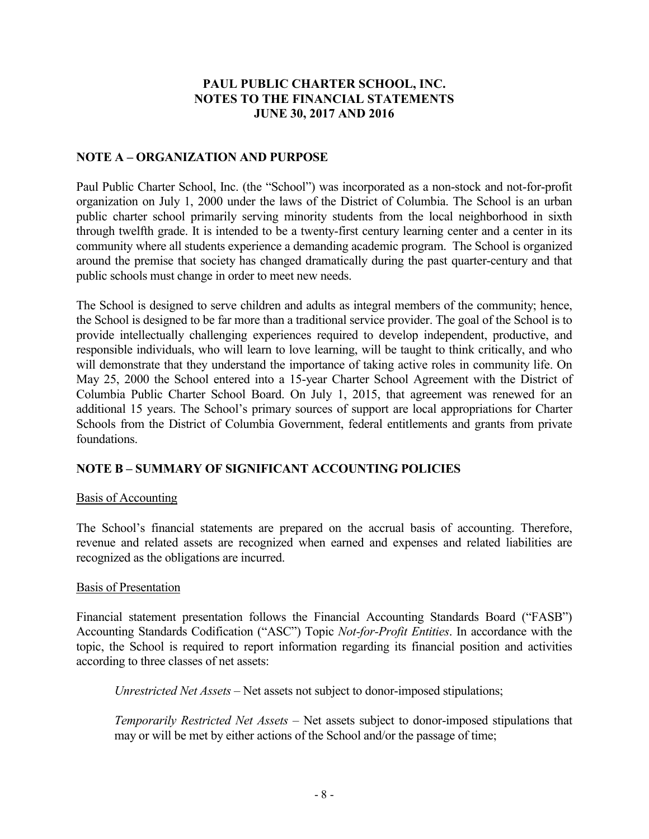## **NOTE A – ORGANIZATION AND PURPOSE**

Paul Public Charter School, Inc. (the "School") was incorporated as a non-stock and not-for-profit organization on July 1, 2000 under the laws of the District of Columbia. The School is an urban public charter school primarily serving minority students from the local neighborhood in sixth through twelfth grade. It is intended to be a twenty-first century learning center and a center in its community where all students experience a demanding academic program. The School is organized around the premise that society has changed dramatically during the past quarter-century and that public schools must change in order to meet new needs.

The School is designed to serve children and adults as integral members of the community; hence, the School is designed to be far more than a traditional service provider. The goal of the School is to provide intellectually challenging experiences required to develop independent, productive, and responsible individuals, who will learn to love learning, will be taught to think critically, and who will demonstrate that they understand the importance of taking active roles in community life. On May 25, 2000 the School entered into a 15-year Charter School Agreement with the District of Columbia Public Charter School Board. On July 1, 2015, that agreement was renewed for an additional 15 years. The School's primary sources of support are local appropriations for Charter Schools from the District of Columbia Government, federal entitlements and grants from private foundations.

## **NOTE B – SUMMARY OF SIGNIFICANT ACCOUNTING POLICIES**

## Basis of Accounting

The School's financial statements are prepared on the accrual basis of accounting. Therefore, revenue and related assets are recognized when earned and expenses and related liabilities are recognized as the obligations are incurred.

### Basis of Presentation

Financial statement presentation follows the Financial Accounting Standards Board ("FASB") Accounting Standards Codification ("ASC") Topic *Not-for-Profit Entities*. In accordance with the topic, the School is required to report information regarding its financial position and activities according to three classes of net assets:

*Unrestricted Net Assets* – Net assets not subject to donor-imposed stipulations;

*Temporarily Restricted Net Assets* – Net assets subject to donor-imposed stipulations that may or will be met by either actions of the School and/or the passage of time;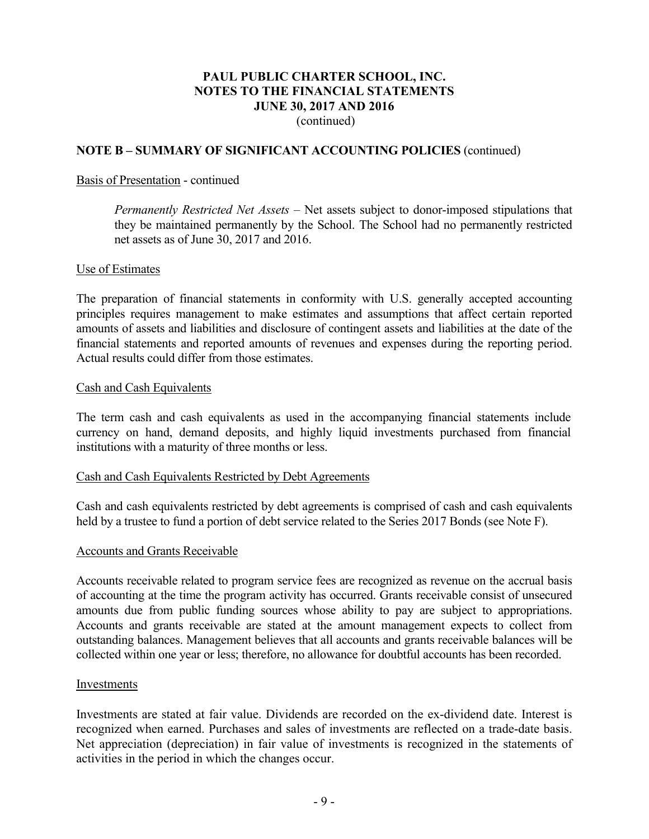(continued)

### **NOTE B – SUMMARY OF SIGNIFICANT ACCOUNTING POLICIES** (continued)

### Basis of Presentation - continued

*Permanently Restricted Net Assets* – Net assets subject to donor-imposed stipulations that they be maintained permanently by the School. The School had no permanently restricted net assets as of June 30, 2017 and 2016.

### Use of Estimates

The preparation of financial statements in conformity with U.S. generally accepted accounting principles requires management to make estimates and assumptions that affect certain reported amounts of assets and liabilities and disclosure of contingent assets and liabilities at the date of the financial statements and reported amounts of revenues and expenses during the reporting period. Actual results could differ from those estimates.

### Cash and Cash Equivalents

The term cash and cash equivalents as used in the accompanying financial statements include currency on hand, demand deposits, and highly liquid investments purchased from financial institutions with a maturity of three months or less.

### Cash and Cash Equivalents Restricted by Debt Agreements

Cash and cash equivalents restricted by debt agreements is comprised of cash and cash equivalents held by a trustee to fund a portion of debt service related to the Series 2017 Bonds (see Note F).

### Accounts and Grants Receivable

Accounts receivable related to program service fees are recognized as revenue on the accrual basis of accounting at the time the program activity has occurred. Grants receivable consist of unsecured amounts due from public funding sources whose ability to pay are subject to appropriations. Accounts and grants receivable are stated at the amount management expects to collect from outstanding balances. Management believes that all accounts and grants receivable balances will be collected within one year or less; therefore, no allowance for doubtful accounts has been recorded.

### Investments

Investments are stated at fair value. Dividends are recorded on the ex-dividend date. Interest is recognized when earned. Purchases and sales of investments are reflected on a trade-date basis. Net appreciation (depreciation) in fair value of investments is recognized in the statements of activities in the period in which the changes occur.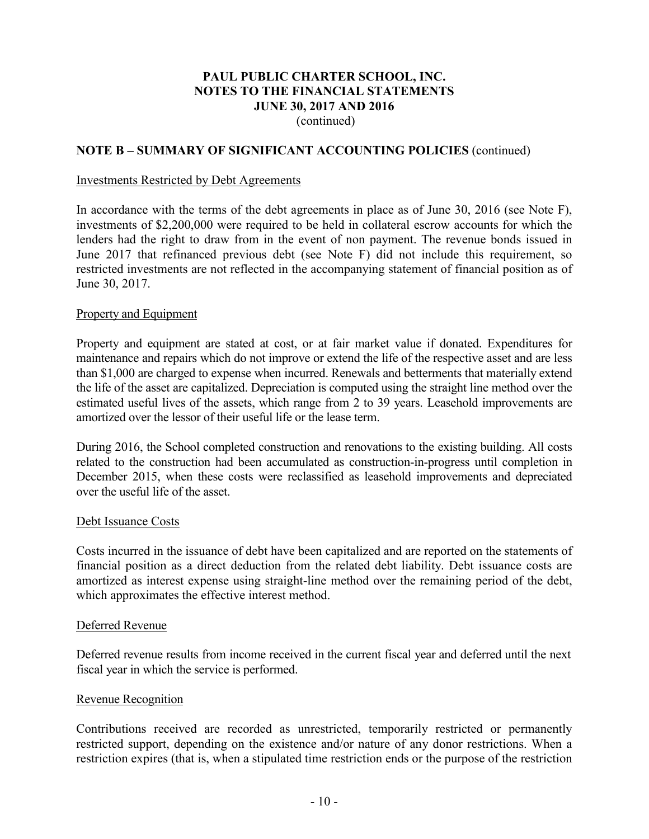(continued)

### **NOTE B – SUMMARY OF SIGNIFICANT ACCOUNTING POLICIES** (continued)

#### Investments Restricted by Debt Agreements

In accordance with the terms of the debt agreements in place as of June 30, 2016 (see Note F), investments of \$2,200,000 were required to be held in collateral escrow accounts for which the lenders had the right to draw from in the event of non payment. The revenue bonds issued in June 2017 that refinanced previous debt (see Note F) did not include this requirement, so restricted investments are not reflected in the accompanying statement of financial position as of June 30, 2017.

#### Property and Equipment

Property and equipment are stated at cost, or at fair market value if donated. Expenditures for maintenance and repairs which do not improve or extend the life of the respective asset and are less than \$1,000 are charged to expense when incurred. Renewals and betterments that materially extend the life of the asset are capitalized. Depreciation is computed using the straight line method over the estimated useful lives of the assets, which range from 2 to 39 years. Leasehold improvements are amortized over the lessor of their useful life or the lease term.

During 2016, the School completed construction and renovations to the existing building. All costs related to the construction had been accumulated as construction-in-progress until completion in December 2015, when these costs were reclassified as leasehold improvements and depreciated over the useful life of the asset.

### Debt Issuance Costs

Costs incurred in the issuance of debt have been capitalized and are reported on the statements of financial position as a direct deduction from the related debt liability. Debt issuance costs are amortized as interest expense using straight-line method over the remaining period of the debt, which approximates the effective interest method.

#### Deferred Revenue

Deferred revenue results from income received in the current fiscal year and deferred until the next fiscal year in which the service is performed.

#### Revenue Recognition

Contributions received are recorded as unrestricted, temporarily restricted or permanently restricted support, depending on the existence and/or nature of any donor restrictions. When a restriction expires (that is, when a stipulated time restriction ends or the purpose of the restriction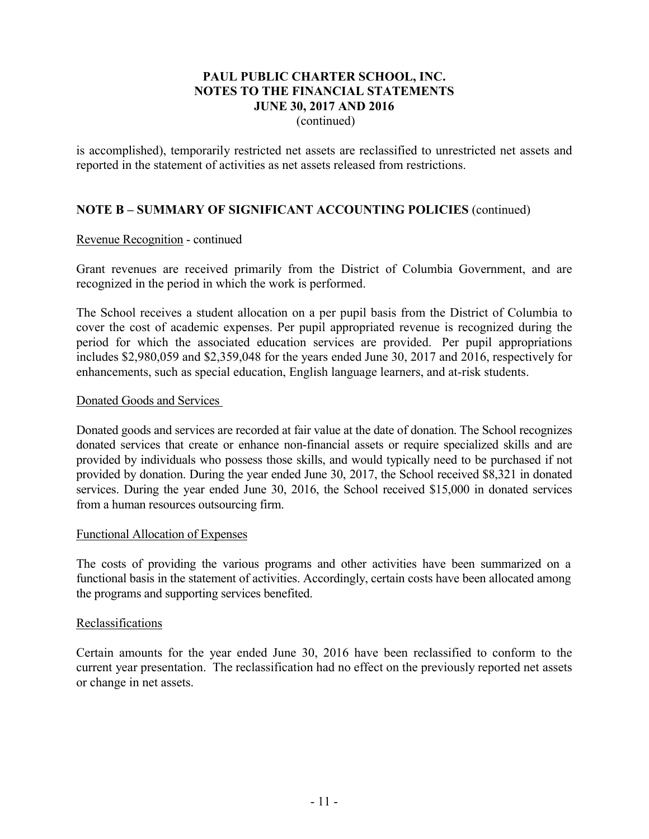(continued)

is accomplished), temporarily restricted net assets are reclassified to unrestricted net assets and reported in the statement of activities as net assets released from restrictions.

## **NOTE B – SUMMARY OF SIGNIFICANT ACCOUNTING POLICIES** (continued)

### Revenue Recognition - continued

Grant revenues are received primarily from the District of Columbia Government, and are recognized in the period in which the work is performed.

The School receives a student allocation on a per pupil basis from the District of Columbia to cover the cost of academic expenses. Per pupil appropriated revenue is recognized during the period for which the associated education services are provided. Per pupil appropriations includes \$2,980,059 and \$2,359,048 for the years ended June 30, 2017 and 2016, respectively for enhancements, such as special education, English language learners, and at-risk students.

### Donated Goods and Services

Donated goods and services are recorded at fair value at the date of donation. The School recognizes donated services that create or enhance non-financial assets or require specialized skills and are provided by individuals who possess those skills, and would typically need to be purchased if not provided by donation. During the year ended June 30, 2017, the School received \$8,321 in donated services. During the year ended June 30, 2016, the School received \$15,000 in donated services from a human resources outsourcing firm.

### Functional Allocation of Expenses

The costs of providing the various programs and other activities have been summarized on a functional basis in the statement of activities. Accordingly, certain costs have been allocated among the programs and supporting services benefited.

### Reclassifications

Certain amounts for the year ended June 30, 2016 have been reclassified to conform to the current year presentation. The reclassification had no effect on the previously reported net assets or change in net assets.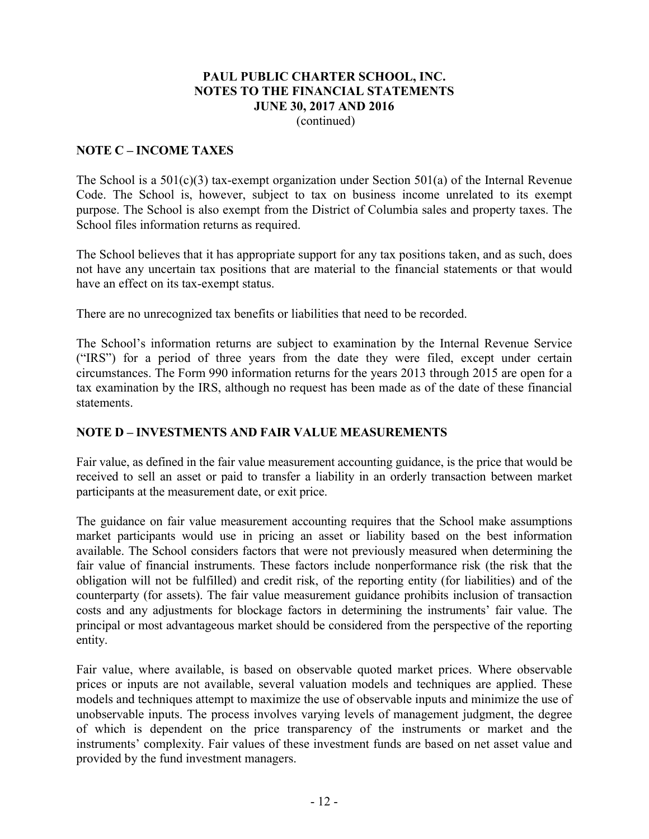(continued)

## **NOTE C – INCOME TAXES**

The School is a 501(c)(3) tax-exempt organization under Section 501(a) of the Internal Revenue Code. The School is, however, subject to tax on business income unrelated to its exempt purpose. The School is also exempt from the District of Columbia sales and property taxes. The School files information returns as required.

The School believes that it has appropriate support for any tax positions taken, and as such, does not have any uncertain tax positions that are material to the financial statements or that would have an effect on its tax-exempt status.

There are no unrecognized tax benefits or liabilities that need to be recorded.

The School's information returns are subject to examination by the Internal Revenue Service ("IRS") for a period of three years from the date they were filed, except under certain circumstances. The Form 990 information returns for the years 2013 through 2015 are open for a tax examination by the IRS, although no request has been made as of the date of these financial statements.

## **NOTE D – INVESTMENTS AND FAIR VALUE MEASUREMENTS**

Fair value, as defined in the fair value measurement accounting guidance, is the price that would be received to sell an asset or paid to transfer a liability in an orderly transaction between market participants at the measurement date, or exit price.

The guidance on fair value measurement accounting requires that the School make assumptions market participants would use in pricing an asset or liability based on the best information available. The School considers factors that were not previously measured when determining the fair value of financial instruments. These factors include nonperformance risk (the risk that the obligation will not be fulfilled) and credit risk, of the reporting entity (for liabilities) and of the counterparty (for assets). The fair value measurement guidance prohibits inclusion of transaction costs and any adjustments for blockage factors in determining the instruments' fair value. The principal or most advantageous market should be considered from the perspective of the reporting entity.

Fair value, where available, is based on observable quoted market prices. Where observable prices or inputs are not available, several valuation models and techniques are applied. These models and techniques attempt to maximize the use of observable inputs and minimize the use of unobservable inputs. The process involves varying levels of management judgment, the degree of which is dependent on the price transparency of the instruments or market and the instruments' complexity. Fair values of these investment funds are based on net asset value and provided by the fund investment managers.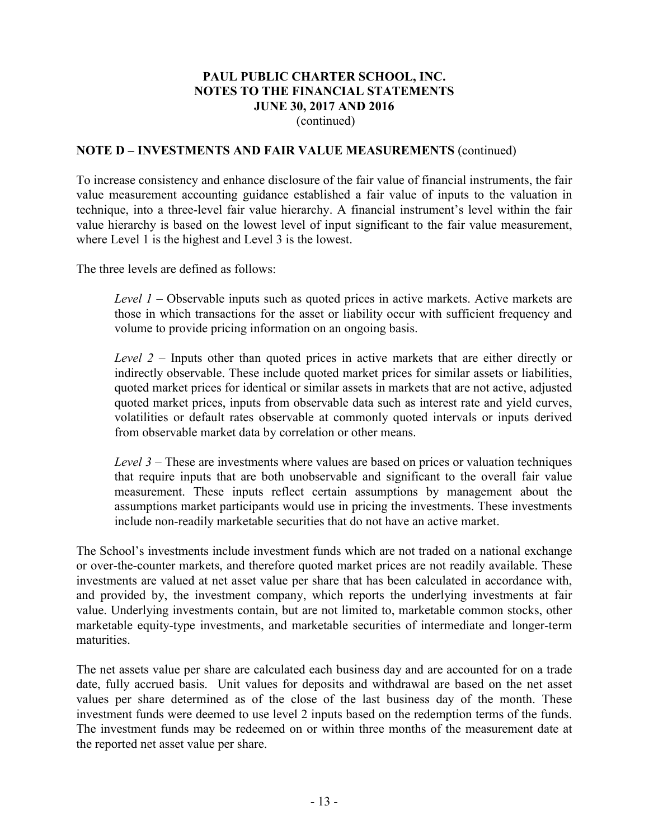(continued)

### **NOTE D – INVESTMENTS AND FAIR VALUE MEASUREMENTS** (continued)

To increase consistency and enhance disclosure of the fair value of financial instruments, the fair value measurement accounting guidance established a fair value of inputs to the valuation in technique, into a three-level fair value hierarchy. A financial instrument's level within the fair value hierarchy is based on the lowest level of input significant to the fair value measurement, where Level 1 is the highest and Level 3 is the lowest.

The three levels are defined as follows:

*Level 1* – Observable inputs such as quoted prices in active markets. Active markets are those in which transactions for the asset or liability occur with sufficient frequency and volume to provide pricing information on an ongoing basis.

*Level 2* – Inputs other than quoted prices in active markets that are either directly or indirectly observable. These include quoted market prices for similar assets or liabilities, quoted market prices for identical or similar assets in markets that are not active, adjusted quoted market prices, inputs from observable data such as interest rate and yield curves, volatilities or default rates observable at commonly quoted intervals or inputs derived from observable market data by correlation or other means.

*Level 3* – These are investments where values are based on prices or valuation techniques that require inputs that are both unobservable and significant to the overall fair value measurement. These inputs reflect certain assumptions by management about the assumptions market participants would use in pricing the investments. These investments include non-readily marketable securities that do not have an active market.

The School's investments include investment funds which are not traded on a national exchange or over-the-counter markets, and therefore quoted market prices are not readily available. These investments are valued at net asset value per share that has been calculated in accordance with, and provided by, the investment company, which reports the underlying investments at fair value. Underlying investments contain, but are not limited to, marketable common stocks, other marketable equity-type investments, and marketable securities of intermediate and longer-term maturities.

The net assets value per share are calculated each business day and are accounted for on a trade date, fully accrued basis. Unit values for deposits and withdrawal are based on the net asset values per share determined as of the close of the last business day of the month. These investment funds were deemed to use level 2 inputs based on the redemption terms of the funds. The investment funds may be redeemed on or within three months of the measurement date at the reported net asset value per share.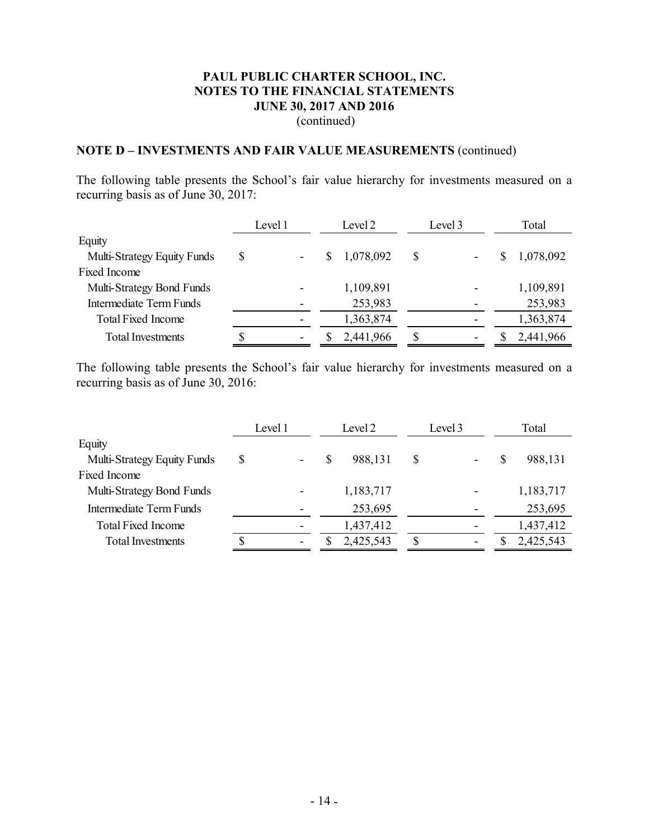(continued)

### **NOTE D – INVESTMENTS AND FAIR VALUE MEASUREMENTS** (continued)

The following table presents the School's fair value hierarchy for investments measured on a recurring basis as of June 30, 2017:

|                             |   | Level 1 |    | Level 2   |   | Level 3 |    | Total     |
|-----------------------------|---|---------|----|-----------|---|---------|----|-----------|
| Equity                      |   |         |    |           |   |         |    |           |
| Multi-Strategy Equity Funds | S |         | S. | 1,078,092 | S |         | S. | 1,078,092 |
| Fixed Income                |   |         |    |           |   |         |    |           |
| Multi-Strategy Bond Funds   |   |         |    | 1,109,891 |   |         |    | 1,109,891 |
| Intermediate Term Funds     |   |         |    | 253,983   |   |         |    | 253,983   |
| <b>Total Fixed Income</b>   |   |         |    | 1,363,874 |   |         |    | 1,363,874 |
| <b>Total Investments</b>    |   |         | S  | 2,441,966 |   |         | S  | 2,441,966 |

The following table presents the School's fair value hierarchy for investments measured on a recurring basis as of June 30, 2016:

| 988,131   |
|-----------|
|           |
| 1,183,717 |
| 253,695   |
| 1,437,412 |
| 2,425,543 |
|           |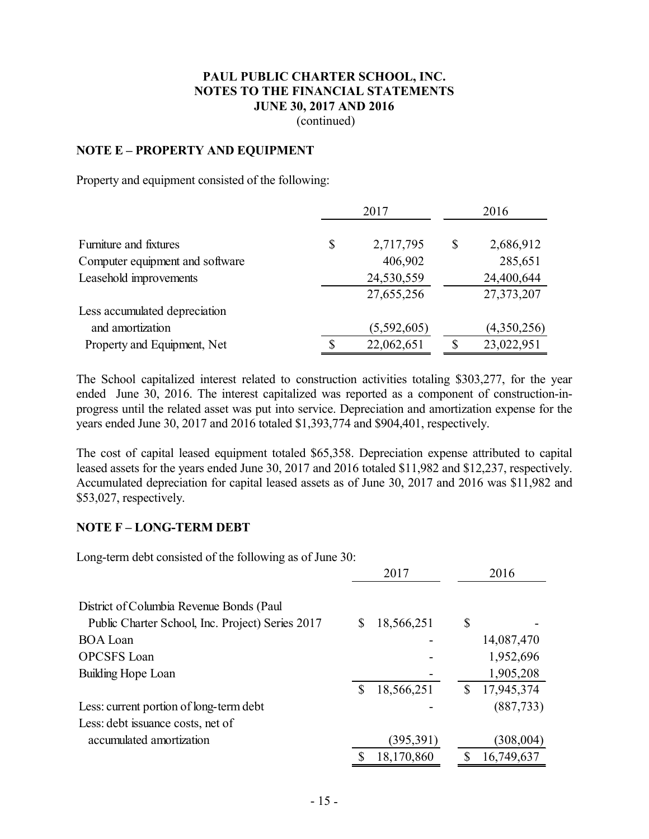(continued)

## **NOTE E – PROPERTY AND EQUIPMENT**

Property and equipment consisted of the following:

|                                 |    | 2017        | 2016            |
|---------------------------------|----|-------------|-----------------|
| Furniture and fixtures          | \$ | 2,717,795   | \$<br>2,686,912 |
| Computer equipment and software |    | 406,902     | 285,651         |
| Leasehold improvements          |    | 24,530,559  | 24,400,644      |
|                                 |    | 27,655,256  | 27,373,207      |
| Less accumulated depreciation   |    |             |                 |
| and amortization                |    | (5,592,605) | (4,350,256)     |
| Property and Equipment, Net     | ς  | 22,062,651  | 23,022,951      |

The School capitalized interest related to construction activities totaling \$303,277, for the year ended June 30, 2016. The interest capitalized was reported as a component of construction-inprogress until the related asset was put into service. Depreciation and amortization expense for the years ended June 30, 2017 and 2016 totaled \$1,393,774 and \$904,401, respectively.

The cost of capital leased equipment totaled \$65,358. Depreciation expense attributed to capital leased assets for the years ended June 30, 2017 and 2016 totaled \$11,982 and \$12,237, respectively. Accumulated depreciation for capital leased assets as of June 30, 2017 and 2016 was \$11,982 and \$53,027, respectively.

### **NOTE F – LONG-TERM DEBT**

Long-term debt consisted of the following as of June 30:

|                                                  | 2017             | 2016             |
|--------------------------------------------------|------------------|------------------|
| District of Columbia Revenue Bonds (Paul         |                  |                  |
| Public Charter School, Inc. Project) Series 2017 | 18,566,251       | \$               |
| <b>BOA</b> Loan                                  |                  | 14,087,470       |
| <b>OPCSFS</b> Loan                               |                  | 1,952,696        |
| Building Hope Loan                               |                  | 1,905,208        |
|                                                  | \$<br>18,566,251 | \$<br>17,945,374 |
| Less: current portion of long-term debt          |                  | (887, 733)       |
| Less: debt issuance costs, net of                |                  |                  |
| accumulated amortization                         | (395, 391)       | (308, 004)       |
|                                                  | 18,170,860       | 16,749,637       |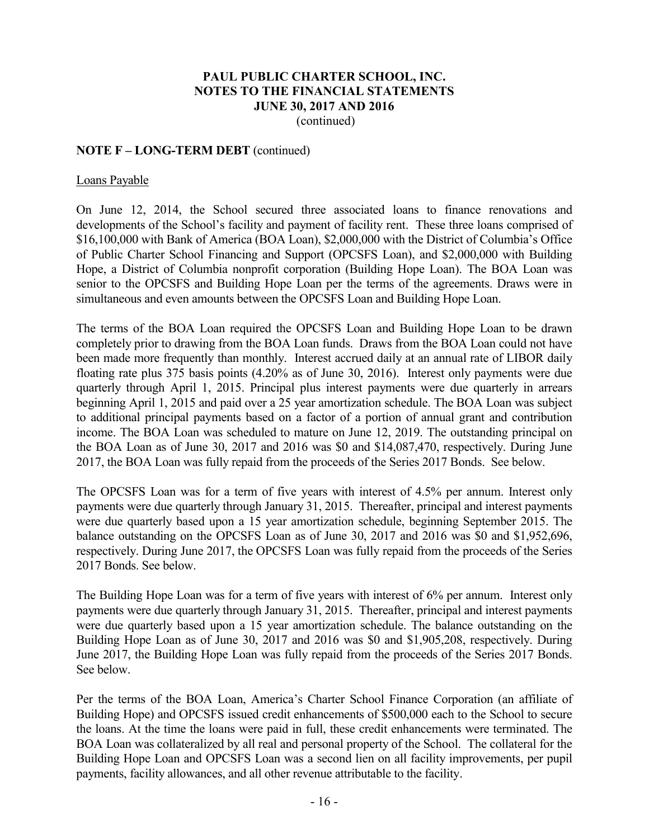(continued)

### **NOTE F – LONG-TERM DEBT** (continued)

#### Loans Payable

On June 12, 2014, the School secured three associated loans to finance renovations and developments of the School's facility and payment of facility rent. These three loans comprised of \$16,100,000 with Bank of America (BOA Loan), \$2,000,000 with the District of Columbia's Office of Public Charter School Financing and Support (OPCSFS Loan), and \$2,000,000 with Building Hope, a District of Columbia nonprofit corporation (Building Hope Loan). The BOA Loan was senior to the OPCSFS and Building Hope Loan per the terms of the agreements. Draws were in simultaneous and even amounts between the OPCSFS Loan and Building Hope Loan.

The terms of the BOA Loan required the OPCSFS Loan and Building Hope Loan to be drawn completely prior to drawing from the BOA Loan funds. Draws from the BOA Loan could not have been made more frequently than monthly. Interest accrued daily at an annual rate of LIBOR daily floating rate plus 375 basis points (4.20% as of June 30, 2016). Interest only payments were due quarterly through April 1, 2015. Principal plus interest payments were due quarterly in arrears beginning April 1, 2015 and paid over a 25 year amortization schedule. The BOA Loan was subject to additional principal payments based on a factor of a portion of annual grant and contribution income. The BOA Loan was scheduled to mature on June 12, 2019. The outstanding principal on the BOA Loan as of June 30, 2017 and 2016 was \$0 and \$14,087,470, respectively. During June 2017, the BOA Loan was fully repaid from the proceeds of the Series 2017 Bonds. See below.

The OPCSFS Loan was for a term of five years with interest of 4.5% per annum. Interest only payments were due quarterly through January 31, 2015. Thereafter, principal and interest payments were due quarterly based upon a 15 year amortization schedule, beginning September 2015. The balance outstanding on the OPCSFS Loan as of June 30, 2017 and 2016 was \$0 and \$1,952,696, respectively. During June 2017, the OPCSFS Loan was fully repaid from the proceeds of the Series 2017 Bonds. See below.

The Building Hope Loan was for a term of five years with interest of 6% per annum. Interest only payments were due quarterly through January 31, 2015. Thereafter, principal and interest payments were due quarterly based upon a 15 year amortization schedule. The balance outstanding on the Building Hope Loan as of June 30, 2017 and 2016 was \$0 and \$1,905,208, respectively. During June 2017, the Building Hope Loan was fully repaid from the proceeds of the Series 2017 Bonds. See below.

Per the terms of the BOA Loan, America's Charter School Finance Corporation (an affiliate of Building Hope) and OPCSFS issued credit enhancements of \$500,000 each to the School to secure the loans. At the time the loans were paid in full, these credit enhancements were terminated. The BOA Loan was collateralized by all real and personal property of the School. The collateral for the Building Hope Loan and OPCSFS Loan was a second lien on all facility improvements, per pupil payments, facility allowances, and all other revenue attributable to the facility.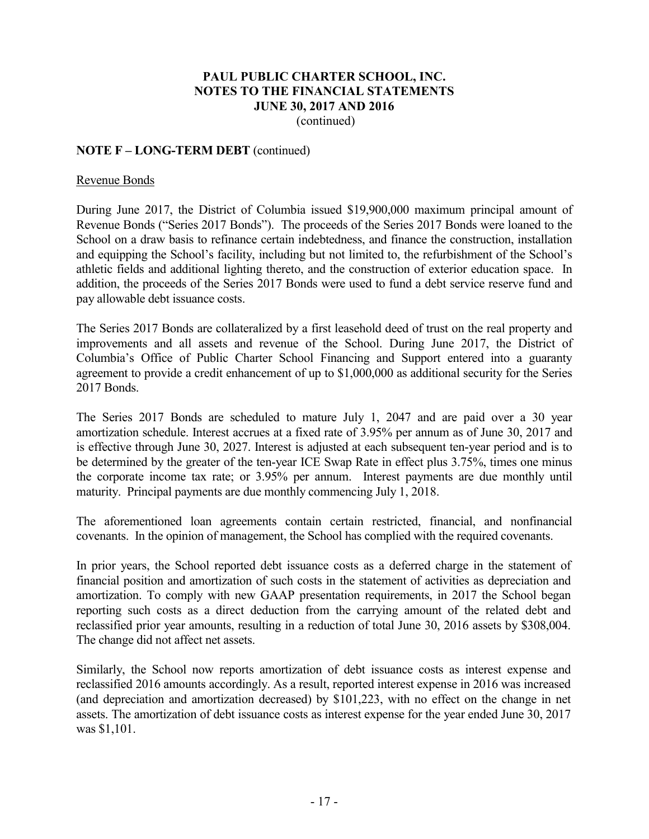(continued)

### **NOTE F – LONG-TERM DEBT** (continued)

#### Revenue Bonds

During June 2017, the District of Columbia issued \$19,900,000 maximum principal amount of Revenue Bonds ("Series 2017 Bonds"). The proceeds of the Series 2017 Bonds were loaned to the School on a draw basis to refinance certain indebtedness, and finance the construction, installation and equipping the School's facility, including but not limited to, the refurbishment of the School's athletic fields and additional lighting thereto, and the construction of exterior education space. In addition, the proceeds of the Series 2017 Bonds were used to fund a debt service reserve fund and pay allowable debt issuance costs.

The Series 2017 Bonds are collateralized by a first leasehold deed of trust on the real property and improvements and all assets and revenue of the School. During June 2017, the District of Columbia's Office of Public Charter School Financing and Support entered into a guaranty agreement to provide a credit enhancement of up to \$1,000,000 as additional security for the Series 2017 Bonds.

The Series 2017 Bonds are scheduled to mature July 1, 2047 and are paid over a 30 year amortization schedule. Interest accrues at a fixed rate of 3.95% per annum as of June 30, 2017 and is effective through June 30, 2027. Interest is adjusted at each subsequent ten-year period and is to be determined by the greater of the ten-year ICE Swap Rate in effect plus 3.75%, times one minus the corporate income tax rate; or 3.95% per annum. Interest payments are due monthly until maturity. Principal payments are due monthly commencing July 1, 2018.

The aforementioned loan agreements contain certain restricted, financial, and nonfinancial covenants. In the opinion of management, the School has complied with the required covenants.

In prior years, the School reported debt issuance costs as a deferred charge in the statement of financial position and amortization of such costs in the statement of activities as depreciation and amortization. To comply with new GAAP presentation requirements, in 2017 the School began reporting such costs as a direct deduction from the carrying amount of the related debt and reclassified prior year amounts, resulting in a reduction of total June 30, 2016 assets by \$308,004. The change did not affect net assets.

Similarly, the School now reports amortization of debt issuance costs as interest expense and reclassified 2016 amounts accordingly. As a result, reported interest expense in 2016 was increased (and depreciation and amortization decreased) by \$101,223, with no effect on the change in net assets. The amortization of debt issuance costs as interest expense for the year ended June 30, 2017 was \$1,101.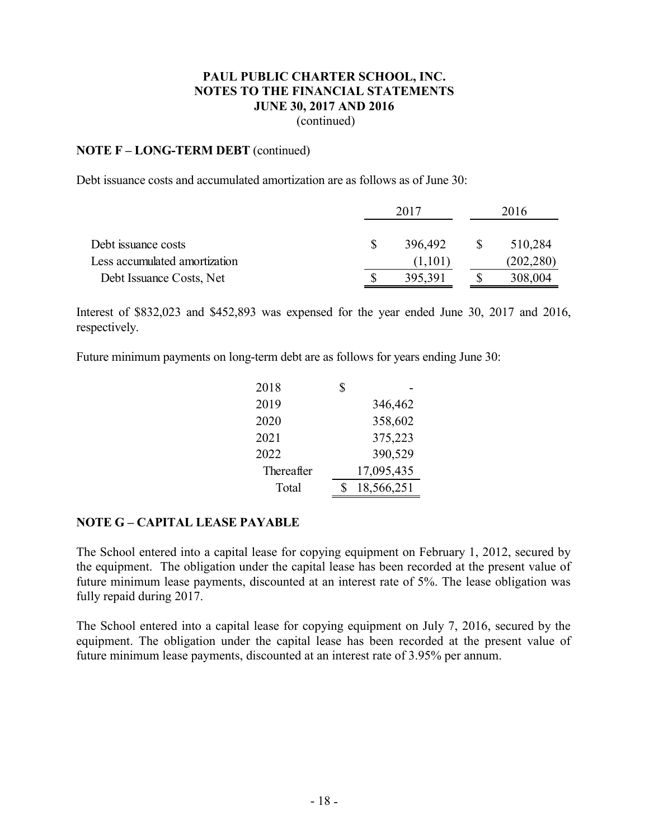(continued)

### **NOTE F – LONG-TERM DEBT** (continued)

Debt issuance costs and accumulated amortization are as follows as of June 30:

|                               | 2017    |    | 2016       |
|-------------------------------|---------|----|------------|
| Debt issuance costs           | 396,492 | -S | 510,284    |
| Less accumulated amortization | (1,101) |    | (202, 280) |
| Debt Issuance Costs, Net      | 395,391 |    | 308,004    |

Interest of \$832,023 and \$452,893 was expensed for the year ended June 30, 2017 and 2016, respectively.

Future minimum payments on long-term debt are as follows for years ending June 30:

| 2018       | \$         |
|------------|------------|
| 2019       | 346,462    |
| 2020       | 358,602    |
| 2021       | 375,223    |
| 2022       | 390,529    |
| Thereafter | 17,095,435 |
| Total      | 18,566,251 |

### **NOTE G – CAPITAL LEASE PAYABLE**

The School entered into a capital lease for copying equipment on February 1, 2012, secured by the equipment. The obligation under the capital lease has been recorded at the present value of future minimum lease payments, discounted at an interest rate of 5%. The lease obligation was fully repaid during 2017.

The School entered into a capital lease for copying equipment on July 7, 2016, secured by the equipment. The obligation under the capital lease has been recorded at the present value of future minimum lease payments, discounted at an interest rate of 3.95% per annum.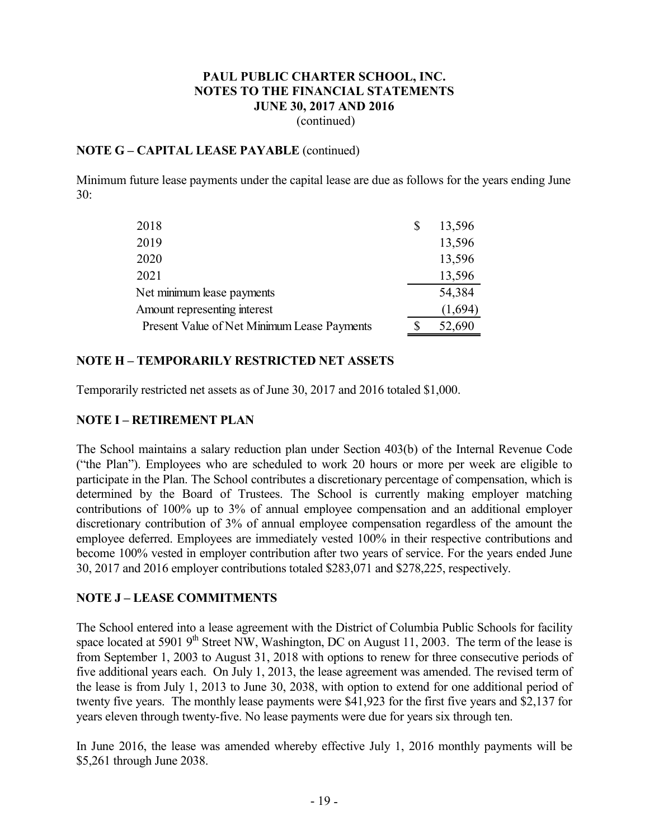(continued)

### **NOTE G – CAPITAL LEASE PAYABLE** (continued)

Minimum future lease payments under the capital lease are due as follows for the years ending June 30:

| 2018                                        | \$<br>13,596 |
|---------------------------------------------|--------------|
| 2019                                        | 13,596       |
| 2020                                        | 13,596       |
| 2021                                        | 13,596       |
| Net minimum lease payments                  | 54,384       |
| Amount representing interest                | (1,694)      |
| Present Value of Net Minimum Lease Payments | \$<br>52,690 |

## **NOTE H – TEMPORARILY RESTRICTED NET ASSETS**

Temporarily restricted net assets as of June 30, 2017 and 2016 totaled \$1,000.

## **NOTE I – RETIREMENT PLAN**

The School maintains a salary reduction plan under Section 403(b) of the Internal Revenue Code ("the Plan"). Employees who are scheduled to work 20 hours or more per week are eligible to participate in the Plan. The School contributes a discretionary percentage of compensation, which is determined by the Board of Trustees. The School is currently making employer matching contributions of 100% up to 3% of annual employee compensation and an additional employer discretionary contribution of 3% of annual employee compensation regardless of the amount the employee deferred. Employees are immediately vested 100% in their respective contributions and become 100% vested in employer contribution after two years of service. For the years ended June 30, 2017 and 2016 employer contributions totaled \$283,071 and \$278,225, respectively.

## **NOTE J – LEASE COMMITMENTS**

The School entered into a lease agreement with the District of Columbia Public Schools for facility space located at 5901  $9<sup>th</sup>$  Street NW, Washington, DC on August 11, 2003. The term of the lease is from September 1, 2003 to August 31, 2018 with options to renew for three consecutive periods of five additional years each. On July 1, 2013, the lease agreement was amended. The revised term of the lease is from July 1, 2013 to June 30, 2038, with option to extend for one additional period of twenty five years. The monthly lease payments were \$41,923 for the first five years and \$2,137 for years eleven through twenty-five. No lease payments were due for years six through ten.

In June 2016, the lease was amended whereby effective July 1, 2016 monthly payments will be \$5,261 through June 2038.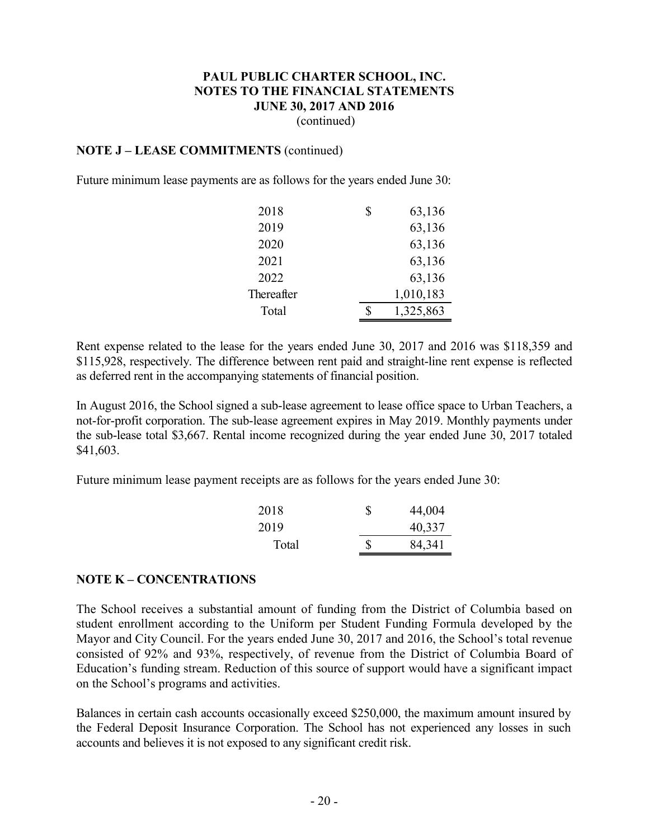(continued)

### **NOTE J – LEASE COMMITMENTS** (continued)

Future minimum lease payments are as follows for the years ended June 30:

| 2018       | \$<br>63,136 |
|------------|--------------|
| 2019       | 63,136       |
| 2020       | 63,136       |
| 2021       | 63,136       |
| 2022       | 63,136       |
| Thereafter | 1,010,183    |
| Total      | 1,325,863    |

Rent expense related to the lease for the years ended June 30, 2017 and 2016 was \$118,359 and \$115,928, respectively. The difference between rent paid and straight-line rent expense is reflected as deferred rent in the accompanying statements of financial position.

In August 2016, the School signed a sub-lease agreement to lease office space to Urban Teachers, a not-for-profit corporation. The sub-lease agreement expires in May 2019. Monthly payments under the sub-lease total \$3,667. Rental income recognized during the year ended June 30, 2017 totaled \$41,603.

Future minimum lease payment receipts are as follows for the years ended June 30:

| 2018  | S | 44,004 |
|-------|---|--------|
| 2019  |   | 40,337 |
| Total | S | 84,341 |

### **NOTE K – CONCENTRATIONS**

The School receives a substantial amount of funding from the District of Columbia based on student enrollment according to the Uniform per Student Funding Formula developed by the Mayor and City Council. For the years ended June 30, 2017 and 2016, the School's total revenue consisted of 92% and 93%, respectively, of revenue from the District of Columbia Board of Education's funding stream. Reduction of this source of support would have a significant impact on the School's programs and activities.

Balances in certain cash accounts occasionally exceed \$250,000, the maximum amount insured by the Federal Deposit Insurance Corporation. The School has not experienced any losses in such accounts and believes it is not exposed to any significant credit risk.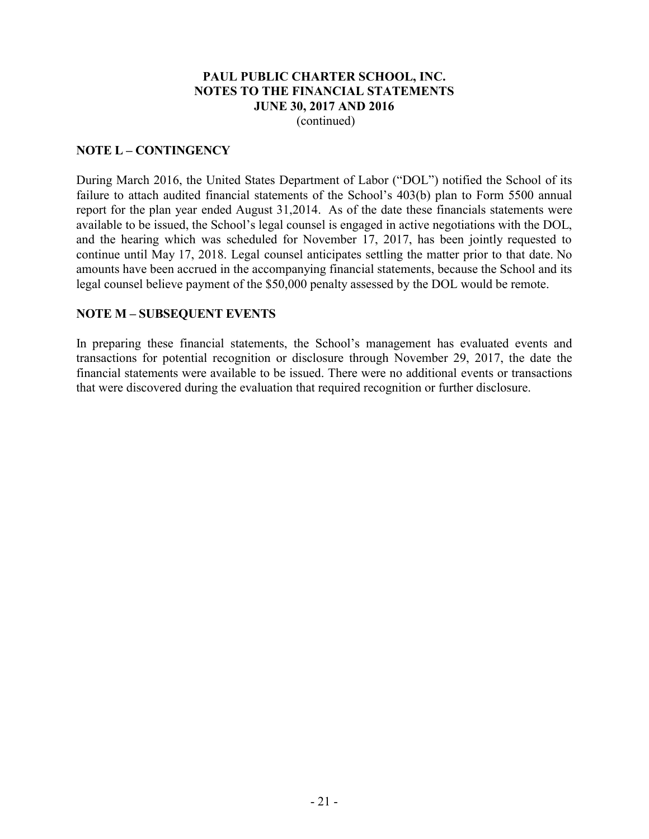(continued)

### **NOTE L – CONTINGENCY**

During March 2016, the United States Department of Labor ("DOL") notified the School of its failure to attach audited financial statements of the School's 403(b) plan to Form 5500 annual report for the plan year ended August 31,2014. As of the date these financials statements were available to be issued, the School's legal counsel is engaged in active negotiations with the DOL, and the hearing which was scheduled for November 17, 2017, has been jointly requested to continue until May 17, 2018. Legal counsel anticipates settling the matter prior to that date. No amounts have been accrued in the accompanying financial statements, because the School and its legal counsel believe payment of the \$50,000 penalty assessed by the DOL would be remote.

### **NOTE M – SUBSEQUENT EVENTS**

In preparing these financial statements, the School's management has evaluated events and transactions for potential recognition or disclosure through November 29, 2017, the date the financial statements were available to be issued. There were no additional events or transactions that were discovered during the evaluation that required recognition or further disclosure.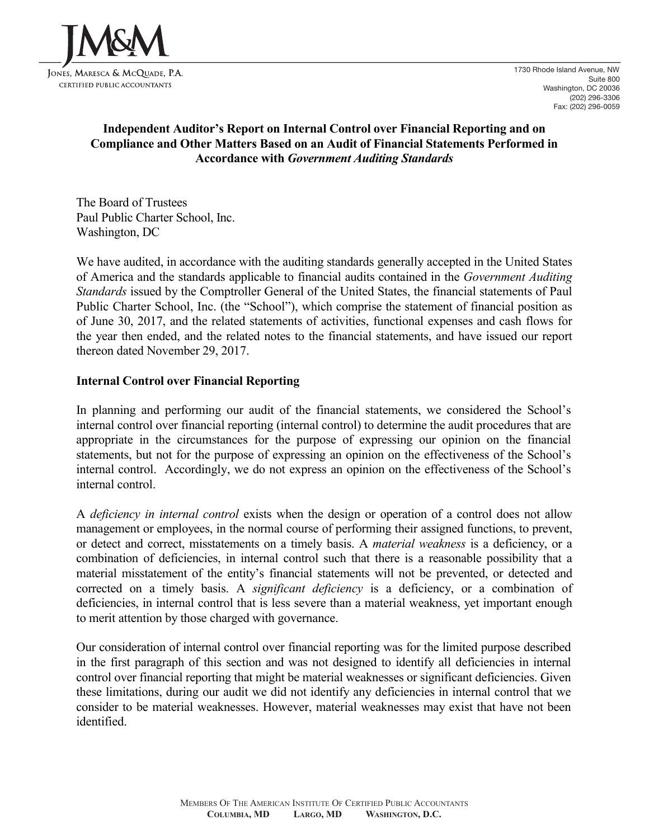

## **Independent Auditor's Report on Internal Control over Financial Reporting and on Compliance and Other Matters Based on an Audit of Financial Statements Performed in Accordance with** *Government Auditing Standards*

The Board of Trustees Paul Public Charter School, Inc. Washington, DC

We have audited, in accordance with the auditing standards generally accepted in the United States of America and the standards applicable to financial audits contained in the *Government Auditing Standards* issued by the Comptroller General of the United States, the financial statements of Paul Public Charter School, Inc. (the "School"), which comprise the statement of financial position as of June 30, 2017, and the related statements of activities, functional expenses and cash flows for the year then ended, and the related notes to the financial statements, and have issued our report thereon dated November 29, 2017.

## **Internal Control over Financial Reporting**

In planning and performing our audit of the financial statements, we considered the School's internal control over financial reporting (internal control) to determine the audit procedures that are appropriate in the circumstances for the purpose of expressing our opinion on the financial statements, but not for the purpose of expressing an opinion on the effectiveness of the School's internal control. Accordingly, we do not express an opinion on the effectiveness of the School's internal control.

A *deficiency in internal control* exists when the design or operation of a control does not allow management or employees, in the normal course of performing their assigned functions, to prevent, or detect and correct, misstatements on a timely basis. A *material weakness* is a deficiency, or a combination of deficiencies, in internal control such that there is a reasonable possibility that a material misstatement of the entity's financial statements will not be prevented, or detected and corrected on a timely basis. A *significant deficiency* is a deficiency, or a combination of deficiencies, in internal control that is less severe than a material weakness, yet important enough to merit attention by those charged with governance.

Our consideration of internal control over financial reporting was for the limited purpose described in the first paragraph of this section and was not designed to identify all deficiencies in internal control over financial reporting that might be material weaknesses or significant deficiencies. Given these limitations, during our audit we did not identify any deficiencies in internal control that we consider to be material weaknesses. However, material weaknesses may exist that have not been identified.